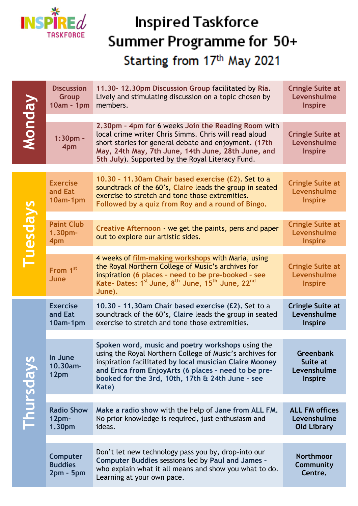

## **Inspired Taskforce** Summer Programme for 50+ Starting from 17th May 2021

| <b>Monday</b> | <b>Discussion</b><br>Group<br>10am - 1pm           | 11.30-12.30pm Discussion Group facilitated by Ria.<br>Lively and stimulating discussion on a topic chosen by<br>members.                                                                                                                                                                      | <b>Cringle Suite at</b><br>Levenshulme<br><b>Inspire</b>      |
|---------------|----------------------------------------------------|-----------------------------------------------------------------------------------------------------------------------------------------------------------------------------------------------------------------------------------------------------------------------------------------------|---------------------------------------------------------------|
|               | $1:30pm -$<br>4pm                                  | 2.30pm - 4pm for 6 weeks Join the Reading Room with<br>local crime writer Chris Simms. Chris will read aloud<br>short stories for general debate and enjoyment. (17th<br>May, 24th May, 7th June, 14th June, 28th June, and<br>5th July). Supported by the Royal Literacy Fund.               | <b>Cringle Suite at</b><br>Levenshulme<br><b>Inspire</b>      |
|               |                                                    |                                                                                                                                                                                                                                                                                               |                                                               |
| Tuesdays      | <b>Exercise</b><br>and Eat<br>10am-1pm             | 10.30 - 11.30am Chair based exercise (£2). Set to a<br>soundtrack of the 60's, Claire leads the group in seated<br>exercise to stretch and tone those extremities.<br>Followed by a quiz from Roy and a round of Bingo.                                                                       | <b>Cringle Suite at</b><br>Levenshulme<br><b>Inspire</b>      |
|               |                                                    |                                                                                                                                                                                                                                                                                               |                                                               |
|               | <b>Paint Club</b><br>$1.30pm-$<br>4pm              | Creative Afternoon - we get the paints, pens and paper<br>out to explore our artistic sides.                                                                                                                                                                                                  | <b>Cringle Suite at</b><br>Levenshulme<br><b>Inspire</b>      |
|               | 4 weeks of film-making workshops with Maria, using |                                                                                                                                                                                                                                                                                               |                                                               |
|               | From 1st<br>June                                   | the Royal Northern College of Music's archives for<br>inspiration (6 places - need to be pre-booked - see<br>Kate- Dates: 1 <sup>st</sup> June, 8 <sup>th</sup> June, 15 <sup>th</sup> June, 22 <sup>nd</sup><br>June).                                                                       | <b>Cringle Suite at</b><br>Levenshulme<br><b>Inspire</b>      |
| Thursdays     | <b>Exercise</b><br>and Eat<br>10am-1pm             | 10.30 - 11.30am Chair based exercise (£2). Set to a<br>soundtrack of the 60's, Claire leads the group in seated<br>exercise to stretch and tone those extremities.                                                                                                                            | <b>Cringle Suite at</b><br>Levenshulme<br><b>Inspire</b>      |
|               |                                                    |                                                                                                                                                                                                                                                                                               |                                                               |
|               | In June<br>10.30am-<br>12pm                        | Spoken word, music and poetry workshops using the<br>using the Royal Northern College of Music's archives for<br>inspiration facilitated by local musician Claire Mooney<br>and Erica from EnjoyArts (6 places - need to be pre-<br>booked for the 3rd, 10th, 17th & 24th June - see<br>Kate) | <b>Greenbank</b><br>Suite at<br>Levenshulme<br><b>Inspire</b> |
|               |                                                    |                                                                                                                                                                                                                                                                                               |                                                               |
|               | <b>Radio Show</b><br>12 <sub>pm</sub><br>1.30pm    | Make a radio show with the help of Jane from ALL FM.<br>No prior knowledge is required, just enthusiasm and<br>ideas.                                                                                                                                                                         | <b>ALL FM offices</b><br>Levenshulme<br><b>Old Library</b>    |
|               |                                                    |                                                                                                                                                                                                                                                                                               |                                                               |
|               | Computer<br><b>Buddies</b><br>$2pm - 5pm$          | Don't let new technology pass you by, drop-into our<br>Computer Buddies sessions led by Paul and James -<br>who explain what it all means and show you what to do.<br>Learning at your own pace.                                                                                              | <b>Northmoor</b><br>Community<br>Centre.                      |